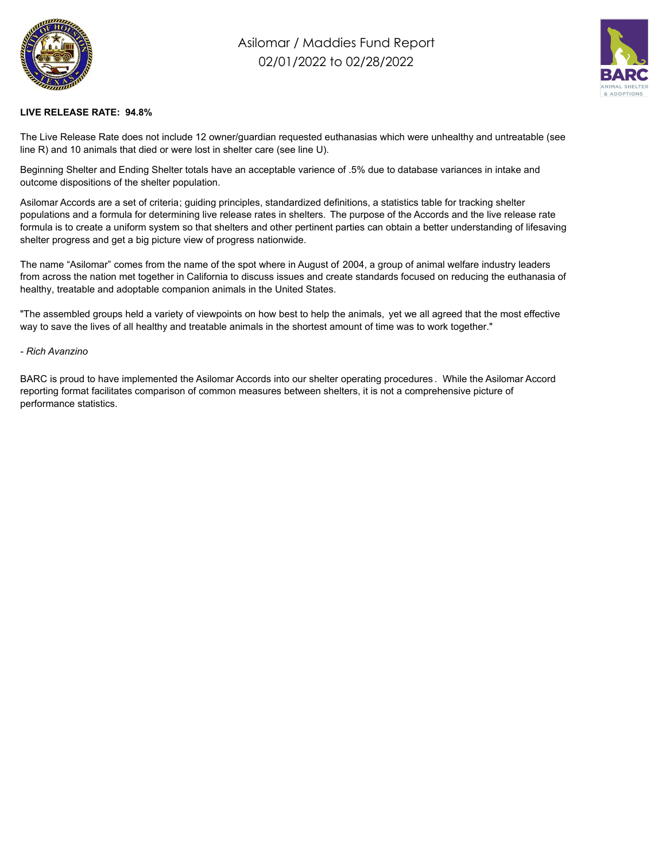

## Asilomar / Maddies Fund Report 02/01/2022 to 02/28/2022



## **LIVE RELEASE RATE: 94.8%**

The Live Release Rate does not include 12 owner/guardian requested euthanasias which were unhealthy and untreatable (see line R) and 10 animals that died or were lost in shelter care (see line U).

Beginning Shelter and Ending Shelter totals have an acceptable varience of .5% due to database variances in intake and outcome dispositions of the shelter population.

Asilomar Accords are a set of criteria; guiding principles, standardized definitions, a statistics table for tracking shelter populations and a formula for determining live release rates in shelters. The purpose of the Accords and the live release rate formula is to create a uniform system so that shelters and other pertinent parties can obtain a better understanding of lifesaving shelter progress and get a big picture view of progress nationwide.

The name "Asilomar" comes from the name of the spot where in August of 2004, a group of animal welfare industry leaders from across the nation met together in California to discuss issues and create standards focused on reducing the euthanasia of healthy, treatable and adoptable companion animals in the United States.

"The assembled groups held a variety of viewpoints on how best to help the animals, yet we all agreed that the most effective way to save the lives of all healthy and treatable animals in the shortest amount of time was to work together."

## *- Rich Avanzino*

BARC is proud to have implemented the Asilomar Accords into our shelter operating procedures . While the Asilomar Accord reporting format facilitates comparison of common measures between shelters, it is not a comprehensive picture of performance statistics.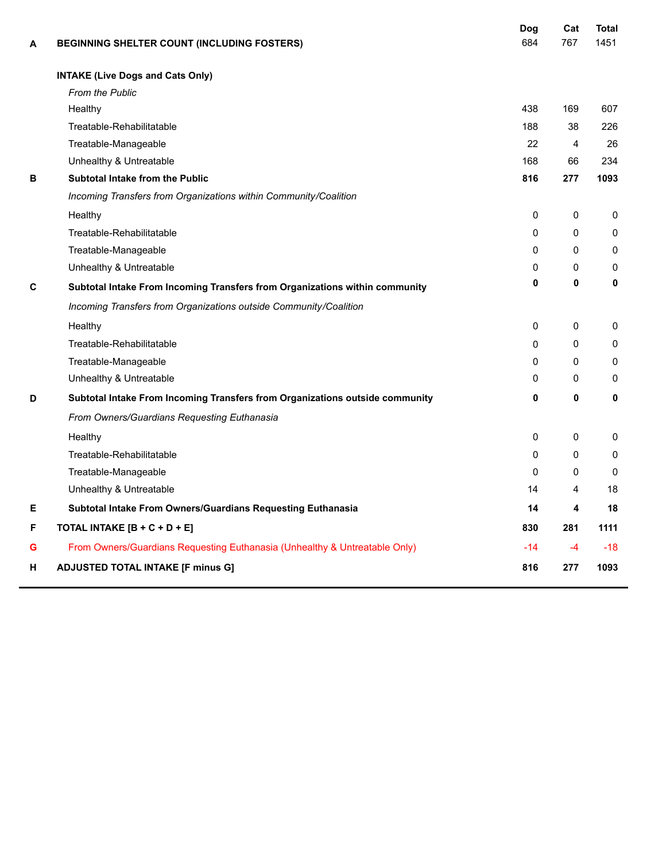| A | BEGINNING SHELTER COUNT (INCLUDING FOSTERS)                                  | Dog<br>684 | Cat<br>767 | <b>Total</b><br>1451 |
|---|------------------------------------------------------------------------------|------------|------------|----------------------|
|   | <b>INTAKE (Live Dogs and Cats Only)</b>                                      |            |            |                      |
|   | <b>From the Public</b>                                                       |            |            |                      |
|   | Healthy                                                                      | 438        | 169        | 607                  |
|   | Treatable-Rehabilitatable                                                    | 188        | 38         | 226                  |
|   | Treatable-Manageable                                                         | 22         | 4          | 26                   |
|   | Unhealthy & Untreatable                                                      | 168        | 66         | 234                  |
| в | <b>Subtotal Intake from the Public</b>                                       | 816        | 277        | 1093                 |
|   | Incoming Transfers from Organizations within Community/Coalition             |            |            |                      |
|   | Healthy                                                                      | 0          | 0          | $\Omega$             |
|   | Treatable-Rehabilitatable                                                    | 0          | 0          | 0                    |
|   | Treatable-Manageable                                                         | $\Omega$   | 0          | $\Omega$             |
|   | Unhealthy & Untreatable                                                      | 0          | 0          | 0                    |
| C | Subtotal Intake From Incoming Transfers from Organizations within community  | 0          | 0          | 0                    |
|   | Incoming Transfers from Organizations outside Community/Coalition            |            |            |                      |
|   | Healthy                                                                      | 0          | 0          | 0                    |
|   | Treatable-Rehabilitatable                                                    | 0          | $\Omega$   | $\mathbf 0$          |
|   | Treatable-Manageable                                                         | 0          | 0          | 0                    |
|   | Unhealthy & Untreatable                                                      | 0          | 0          | 0                    |
| D | Subtotal Intake From Incoming Transfers from Organizations outside community | 0          | 0          | 0                    |
|   | From Owners/Guardians Requesting Euthanasia                                  |            |            |                      |
|   | Healthy                                                                      | 0          | 0          | 0                    |
|   | Treatable-Rehabilitatable                                                    | $\Omega$   | 0          | $\mathbf 0$          |
|   | Treatable-Manageable                                                         | $\Omega$   | 0          | 0                    |
|   | Unhealthy & Untreatable                                                      | 14         | 4          | 18                   |
| Е | Subtotal Intake From Owners/Guardians Requesting Euthanasia                  | 14         | 4          | 18                   |
| F | TOTAL INTAKE [B + C + D + E]                                                 | 830        | 281        | 1111                 |
| G | From Owners/Guardians Requesting Euthanasia (Unhealthy & Untreatable Only)   | $-14$      | -4         | $-18$                |
| н | <b>ADJUSTED TOTAL INTAKE [F minus G]</b>                                     | 816        | 277        | 1093                 |